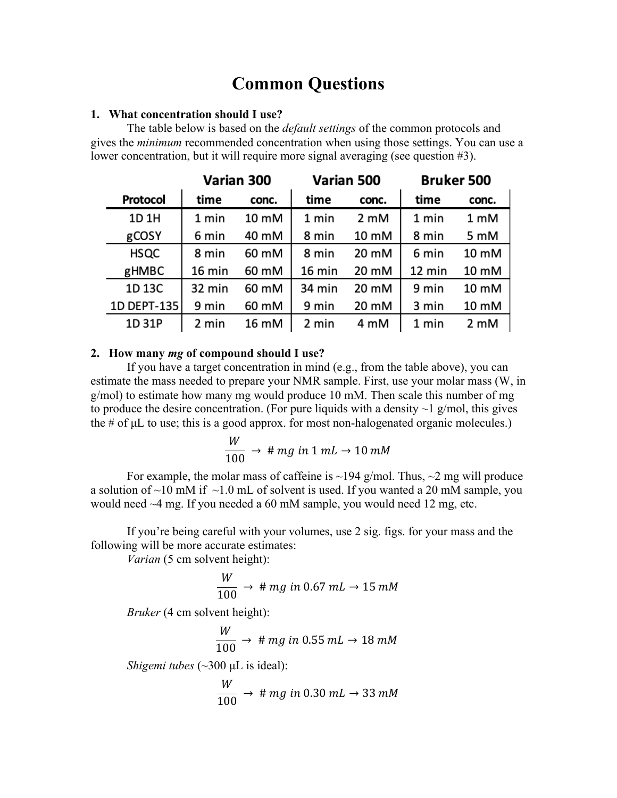# **Common Questions**

#### **1. What concentration should I use?**

The table below is based on the *default settings* of the common protocols and gives the *minimum* recommended concentration when using those settings. You can use a lower concentration, but it will require more signal averaging (see question #3).

|             | Varian 300 |       | Varian 500 |                | <b>Bruker 500</b> |       |
|-------------|------------|-------|------------|----------------|-------------------|-------|
| Protocol    | time       | conc. | time       | conc.          | time              | conc. |
| 1D 1H       | 1 min      | 10 mM | 1 min      | $2 \text{ mM}$ | 1 min             | 1 mM  |
| gCOSY       | 6 min      | 40 mM | 8 min      | 10 mM          | 8 min             | 5 mM  |
| <b>HSQC</b> | 8 min      | 60 mM | 8 min      | 20 mM          | 6 min             | 10 mM |
| gHMBC       | 16 min     | 60 mM | 16 min     | 20 mM          | 12 min            | 10 mM |
| 1D 13C      | 32 min     | 60 mM | 34 min     | 20 mM          | 9 min             | 10 mM |
| 1D DEPT-135 | 9 min      | 60 mM | 9 min      | 20 mM          | 3 min             | 10 mM |
| 1D 31P      | 2 min      | 16 mM | 2 min      | 4 mM           | 1 min             | 2 mM  |

## **2. How many** *mg* **of compound should I use?**

If you have a target concentration in mind (e.g., from the table above), you can estimate the mass needed to prepare your NMR sample. First, use your molar mass (W, in g/mol) to estimate how many mg would produce 10 mM. Then scale this number of mg to produce the desire concentration. (For pure liquids with a density  $\sim$  1 g/mol, this gives the # of μL to use; this is a good approx. for most non-halogenated organic molecules.)

$$
\frac{W}{100} \rightarrow \# mg \text{ in } 1 \text{ mL} \rightarrow 10 \text{ mM}
$$

For example, the molar mass of caffeine is  $\sim$ 194 g/mol. Thus,  $\sim$ 2 mg will produce a solution of  $\sim$ 10 mM if  $\sim$ 1.0 mL of solvent is used. If you wanted a 20 mM sample, you would need ~4 mg. If you needed a 60 mM sample, you would need 12 mg, etc.

If you're being careful with your volumes, use 2 sig. figs. for your mass and the following will be more accurate estimates:

*Varian* (5 cm solvent height):

$$
\frac{W}{100} \rightarrow # mg in 0.67 mL \rightarrow 15 mM
$$

*Bruker* (4 cm solvent height):

$$
\frac{W}{100} \rightarrow # mg in 0.55 mL \rightarrow 18 mM
$$

*Shigemi tubes* (~300 μL is ideal):

$$
\frac{W}{100} \rightarrow \# mg \text{ in } 0.30 \text{ mL} \rightarrow 33 \text{ mM}
$$